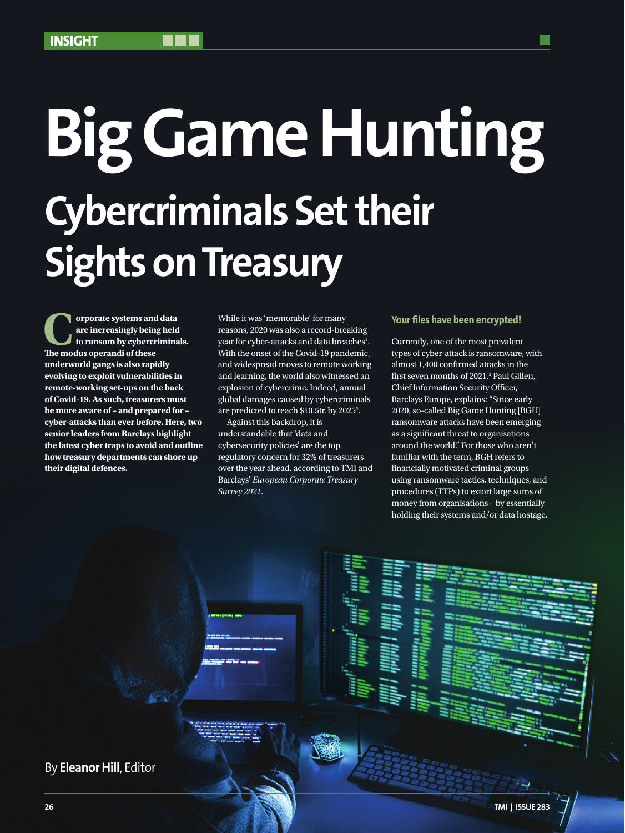# **Big Game Hunting Cybercriminals Set their Sights on Treasury**

**Corporate systems and data<br>
are increasingly being held<br>
to ransom by cybercrimina**<br>
The modus onerandi of these **are increasingly being held to ransom by cybercriminals. The modus operandi of these underworld gangs is also rapidly evolving to exploit vulnerabilities in remote-working set-ups on the back of Covid-19. As such, treasurers must be more aware of – and prepared for – cyber-attacks than ever before. Here, two senior leaders from Barclays highlight the latest cyber traps to avoid and outline how treasury departments can shore up their digital defences.**

While it was 'memorable' for many reasons, 2020 was also a record-breaking year for cyber-attacks and data breaches<sup>1</sup>. With the onset of the Covid-19 pandemic, and widespread moves to remote working and learning, the world also witnessed an explosion of cybercrime. Indeed, annual global damages caused by cybercriminals are predicted to reach \$10.5tr. by 2025<sup>2</sup>.

Against this backdrop, it is understandable that 'data and cybersecurity policies' are the top regulatory concern for 32% of treasurers over the year ahead, according to TMI and Barclays' *European Corporate Treasury Survey 2021*.

## **Your files have been encrypted!**

Currently, one of the most prevalent types of cyber-attack is ransomware, with almost 1,400 confirmed attacks in the first seven months of 2021.3 Paul Gillen, Chief Information Security Officer, Barclays Europe, explains: "Since early 2020, so-called Big Game Hunting [BGH] ransomware attacks have been emerging as a significant threat to organisations around the world." For those who aren't familiar with the term, BGH refers to financially motivated criminal groups using ransomware tactics, techniques, and procedures (TTPs) to extort large sums of money from organisations – by essentially holding their systems and/or data hostage.

By **Eleanor Hill**, Editor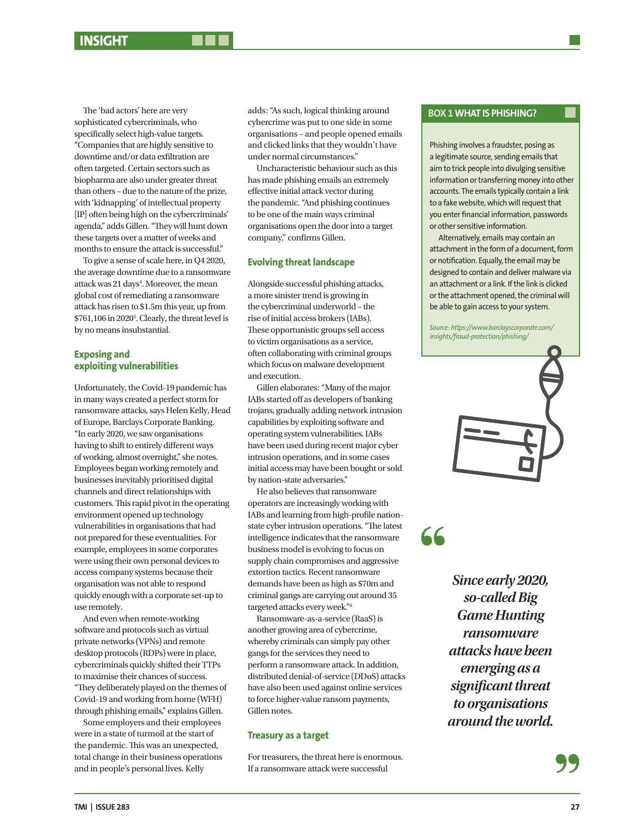The 'bad actors' here are very sophisticated cybercriminals, who specifically select high-value targets. "Companies that are highly sensitive to downtime and/or data exfiltration are often targeted. Certain sectors such as biopharma are also under greater threat than others – due to the nature of the prize, with 'kidnapping' of intellectual property [IP] often being high on the cybercriminals' agenda," adds Gillen. "They will hunt down these targets over a matter of weeks and months to ensure the attack is successful."

To give a sense of scale here, in Q4 2020, the average downtime due to a ransomware attack was 21 days<sup>4</sup>. Moreover, the mean global cost of remediating a ransomware attack has risen to \$1.5m this year, up from \$761,106 in 20205 . Clearly, the threat level is by no means insubstantial.

# **Exposing and exploiting vulnerabilities**

Unfortunately, the Covid-19 pandemic has in many ways created a perfect storm for ransomware attacks, says Helen Kelly, Head of Europe, Barclays Corporate Banking. "In early 2020, we saw organisations having to shift to entirely different ways of working, almost overnight," she notes. Employees began working remotely and businesses inevitably prioritised digital channels and direct relationships with customers. This rapid pivot in the operating environment opened up technology vulnerabilities in organisations that had not prepared for these eventualities. For example, employees in some corporates were using their own personal devices to access company systems because their organisation was not able to respond quickly enough with a corporate set-up to use remotely.

And even when remote-working software and protocols such as virtual private networks (VPNs) and remote desktop protocols (RDPs) were in place, cybercriminals quickly shifted their TTPs to maximise their chances of success. "They deliberately played on the themes of Covid-19 and working from home (WFH) through phishing emails," explains Gillen.

Some employers and their employees were in a state of turmoil at the start of the pandemic. This was an unexpected, total change in their business operations and in people's personal lives. Kelly

adds: "As such, logical thinking around cybercrime was put to one side in some organisations – and people opened emails and clicked links that they wouldn't have under normal circumstances."

Uncharacteristic behaviour such as this has made phishing emails an extremely effective initial attack vector during the pandemic. "And phishing continues to be one of the main ways criminal organisations open the door into a target company," confirms Gillen.

# **Evolving threat landscape**

Alongside successful phishing attacks, a more sinister trend is growing in the cybercriminal underworld – the rise of initial access brokers (IABs). These opportunistic groups sell access to victim organisations as a service, often collaborating with criminal groups which focus on malware development and execution.

Gillen elaborates: "Many of the major IABs started off as developers of banking trojans, gradually adding network intrusion capabilities by exploiting software and operating system vulnerabilities. IABs have been used during recent major cyber intrusion operations, and in some cases initial access may have been bought or sold by nation-state adversaries."

He also believes that ransomware operators are increasingly working with IABs and learning from high-profile nationstate cyber intrusion operations. "The latest intelligence indicates that the ransomware business model is evolving to focus on supply chain compromises and aggressive extortion tactics. Recent ransomware demands have been as high as \$70m and criminal gangs are carrying out around 35 targeted attacks every week."6

Ransomware-as-a-service (RaaS) is another growing area of cybercrime, whereby criminals can simply pay other gangs for the services they need to perform a ransomware attack. In addition, distributed denial-of-service (DDoS) attacks have also been used against online services to force higher-value ransom payments, Gillen notes.

# **Treasury as a target**

For treasurers, the threat here is enormous. If a ransomware attack were successful

# **BOX 1 WHAT IS PHISHING?**

Phishing involves a fraudster, posing as a legitimate source, sending emails that aim to trick people into divulging sensitive information or transferring money into other accounts. The emails typically contain a link to a fake website, which will request that you enter financial information, passwords or other sensitive information.

Alternatively, emails may contain an attachment in the form of a document, form or notification. Equally, the email may be designed to contain and deliver malware via an attachment or a link. If the link is clicked or the attachment opened, the criminal will be able to gain access to your system.

*Source: https://www.barclayscorporate.com/ insights/fraud-protection/phishing/* 



# 66

*Since early 2020, so-called Big Game Hunting ransomware attacks have been emerging as a significant threat to organisations around the world.*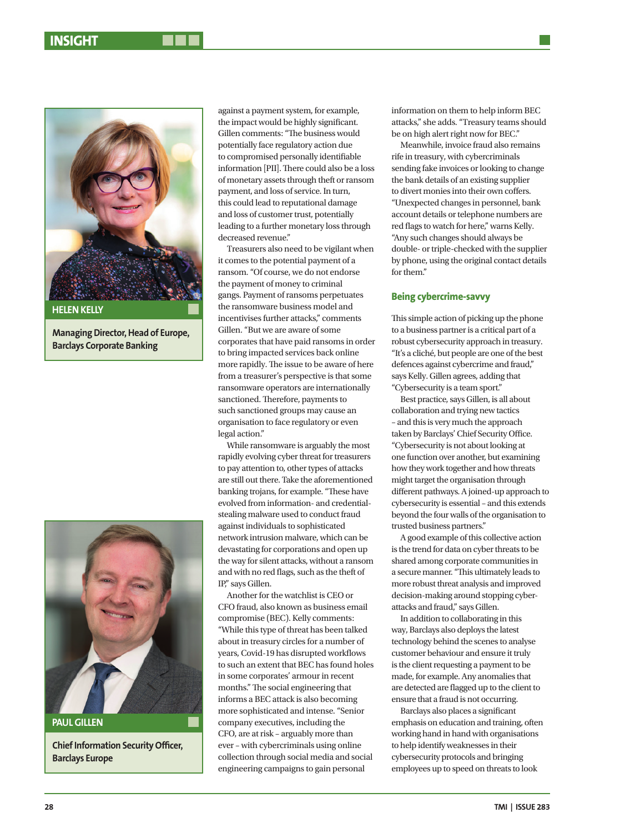

**Managing Director, Head of Europe, Barclays Corporate Banking**



**PAUL GILLEN**

**Chief Information Security Officer, Barclays Europe**

against a payment system, for example, the impact would be highly significant. Gillen comments: "The business would potentially face regulatory action due to compromised personally identifiable information [PII]. There could also be a loss of monetary assets through theft or ransom payment, and loss of service. In turn, this could lead to reputational damage and loss of customer trust, potentially leading to a further monetary loss through decreased revenue."

Treasurers also need to be vigilant when it comes to the potential payment of a ransom. "Of course, we do not endorse the payment of money to criminal gangs. Payment of ransoms perpetuates the ransomware business model and incentivises further attacks," comments Gillen. "But we are aware of some corporates that have paid ransoms in order to bring impacted services back online more rapidly. The issue to be aware of here from a treasurer's perspective is that some ransomware operators are internationally sanctioned. Therefore, payments to such sanctioned groups may cause an organisation to face regulatory or even legal action."

While ransomware is arguably the most rapidly evolving cyber threat for treasurers to pay attention to, other types of attacks are still out there. Take the aforementioned banking trojans, for example. "These have evolved from information- and credentialstealing malware used to conduct fraud against individuals to sophisticated network intrusion malware, which can be devastating for corporations and open up the way for silent attacks, without a ransom and with no red flags, such as the theft of IP," says Gillen.

Another for the watchlist is CEO or CFO fraud, also known as business email compromise (BEC). Kelly comments: "While this type of threat has been talked about in treasury circles for a number of years, Covid-19 has disrupted workflows to such an extent that BEC has found holes in some corporates' armour in recent months." The social engineering that informs a BEC attack is also becoming more sophisticated and intense. "Senior company executives, including the CFO, are at risk – arguably more than ever – with cybercriminals using online collection through social media and social engineering campaigns to gain personal

information on them to help inform BEC attacks," she adds. "Treasury teams should be on high alert right now for BEC."

Meanwhile, invoice fraud also remains rife in treasury, with cybercriminals sending fake invoices or looking to change the bank details of an existing supplier to divert monies into their own coffers. "Unexpected changes in personnel, bank account details or telephone numbers are red flags to watch for here," warns Kelly. "Any such changes should always be double- or triple-checked with the supplier by phone, using the original contact details for them."

# **Being cybercrime-savvy**

This simple action of picking up the phone to a business partner is a critical part of a robust cybersecurity approach in treasury. "It's a cliché, but people are one of the best defences against cybercrime and fraud," says Kelly. Gillen agrees, adding that "Cybersecurity is a team sport."

Best practice, says Gillen, is all about collaboration and trying new tactics – and this is very much the approach taken by Barclays' Chief Security Office. "Cybersecurity is not about looking at one function over another, but examining how they work together and how threats might target the organisation through different pathways. A joined-up approach to cybersecurity is essential – and this extends beyond the four walls of the organisation to trusted business partners."

A good example of this collective action is the trend for data on cyber threats to be shared among corporate communities in a secure manner. "This ultimately leads to more robust threat analysis and improved decision-making around stopping cyberattacks and fraud," says Gillen.

In addition to collaborating in this way, Barclays also deploys the latest technology behind the scenes to analyse customer behaviour and ensure it truly is the client requesting a payment to be made, for example. Any anomalies that are detected are flagged up to the client to ensure that a fraud is not occurring.

Barclays also places a significant emphasis on education and training, often working hand in hand with organisations to help identify weaknesses in their cybersecurity protocols and bringing employees up to speed on threats to look